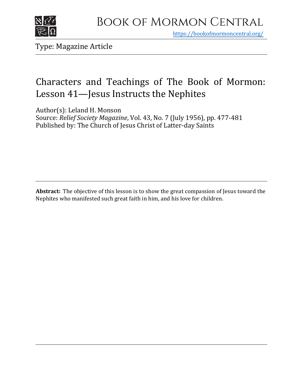

https[://bookofmormoncentral.org/](http://bookofmormoncentral.org/)

Type: Magazine Article

## Characters and Teachings of The Book of Mormon: Lesson 41—Jesus Instructs the Nephites

Author(s): Leland H. Monson Source: *Relief Society Magazine*, Vol. 43, No. 7 (July 1956), pp. 477-481 Published by: The Church of Jesus Christ of Latter-day Saints

**Abstract:** The objective of this lesson is to show the great compassion of Jesus toward the Nephites who manifested such great faith in him, and his love for children.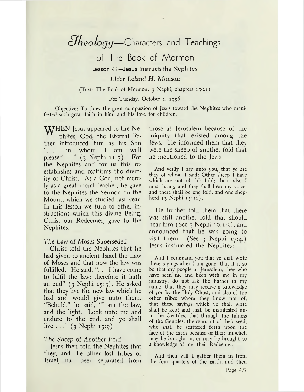# *¿Theology—*Characters and Teachings

of The Book of Mormon

**Lesson 41—Jesus Instructs the Nephites**

*Elder Leland H. Monson*

(Text: The Book of Mormon: <sup>3</sup> Nephi, chapters 15-21)

For Tuesday, October 2, 1956

Objective: To show the great compassion of Jesus toward the Nephites who manifested such great faith in him, and his love for children.

**VATHEN** Jesus appeared to the Nephites, God, the Eternal Father introduced him as his Son . . in whom I am well pleased. . ." (3 Nephi 11:7). For the Nephites and for us this reestablishes and reaffirms the divinity of Christ. As a God, not merely as a great moral teacher, he gave to the Nephites the Sermon on the Mount, which we studied last year. In this lesson we turn to other instructions which this divine Being, Christ our Redeemer, gave to the Nephites.

#### *The Law of Moses Superseded*

Christ told the Nephites that he had given to ancient Israel the Law of Moses and that now the law was fulfilled. He said, ". . . I have come to fulfil the law; therefore it hath an end"  $(3 \text{ Nephi } 15:5)$ . He asked that they live the new law which he had and would give unto them. "Behold," he said, "I am the law, and the light. Look unto me and endure to the end, and ye shall live  $\ldots$ " (3 Nephi 15:9).

### *The Sheep of Another Fold*

Jesus then told the Nephites that they, and the other lost tribes of Israel, had been separated from

 $\overline{\phantom{a}}$ 

those at Jerusalem because of the iniquity that existed among the Jews. He informed them that they were the sheep of another fold that he mentioned to the Jews.

And verily I say unto you, that ye are they of whom I said: Other sheep I have which are not of this fold; them also I must bring, and they shall hear my voice; and there shall be one fold, and one shepherd (3 Nephi 15:21).

He further told them that there was still another fold that should hear him (See  $3$  Nephi 16:1-3); and announced that he was going to visit them. (See  $\frac{1}{2}$  Nephi 17:4.) Jesus instructed the Nephites:

And I command you that ye shall write these sayings after I am gone, that if it so be that my people at Jerusalem, they who have seen me and been with me in my ministry, do not ask the Father in my name, that they may receive a knowledge of you by the Holy Ghost, and also of the other tribes whom they know not of, that these sayings which ye shall write shall be kept and shall be manifested unto the Gentiles, that through the fulness of the Gentiles, the remnant of their seed, who shall be scattered forth upon the face of the earth because of their unbelief, may be brought in, or may be brought to a knowledge of me, their Redeemer.

And then will I gather them in from the four quarters of the earth; and then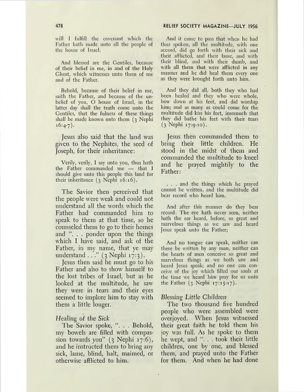will I fulfill the covenant which the Father hath made unto all the people of the house of Israel.

And blessed are the Gentiles, because of their belief in me, in and of the Holy Ghost, which witnesses unto them of me and of the Father.

Behold, because of their belief in me, saith the Father, and because of the unbelief of you, O house of Israel, in the latter day shall the truth come unto the Gentiles, that the fulness of these things shall be made known unto them (3 Nephi  $16:4-7$ ).

Jesus also said that the land was given to the Nephites, the seed of Joseph, for their inheritance:

Verily, verily, I say unto you, thus hath the Father commanded me — that I should give unto this people this land for their inheritance  $(3 \text{ Nephi } 16:16)$ .

The Savior then perceived that the people were weak and could not understand all the words which the Father had commanded him to speak to them at that time, so he counseled them to go to their homes and ". . . ponder upon the things which I have said, and ask of the Father, in my name, that ye may understand . .." (3 Nephi 17:3).

Jesus then said he must go to his Father and also to show himself to the lost tribes of Israel, but as he looked at the multitude, he saw they were in tears and their eyes seemed to implore him to stay with them a little longer.

### *Healing of the Sick*

The Savior spoke, ". . . Behold, my bowels are filled with compassion towards you" (3 Nephi 17:6), and he instructed them to bring any sick, lame, blind, halt, maimed, or otherwise afflicted to him.

And it came to pass that when he had thus spoken, all the multitude, with one accord, did go forth with their sick and their afflicted, and their lame, and with their blind, and with their dumb, and with all them that were afflicted in any manner and he did heal them every one as they were brought forth unto him.

And they did all, both they who had been healed and they who were whole, bow down at his feet, and did worship him; and as many as could come for the multitude did kiss his feet, insomuch that they did bathe his feet with their tears (3 Nephi 17:9-10).

Jesus then commanded them to bring their little children. He stood in the midst of them and commanded the multitude to kneel and he prayed mightily to the Father:

. . . and the things which he prayed cannot be written, and the multitude did bear record who heard him.

And after this manner do they bear record: The eye hath never seen, neither hath the ear heard, before, so great and marvelous things as we saw and heard Jesus speak unto the Father;

And no tongue can speak, neither can there be written by any man, neither can the hearts of men conceive so great and marvelous things as we both saw and heard Jesus speak; and no one can conceive of the joy which filled our souls at the time we heard him pray for us unto the Father  $(3 \text{ Nephi } 17:15-17)$ .

#### *Blessing Little Children*

The two thousand five hundred people who were assembled were overjoyed. When Jesus witnessed their great faith he told them his joy was full. As he spoke to them he wept, and ". . . took their little children, one by one, and blessed them, and prayed unto the Father for them. And when he had done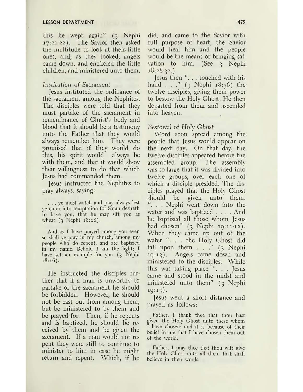this he wept again" (3 Nephi 17:21-22). The Savior then asked the multitude to look at their, little ones, and, as they looked, angels came down, and encircled the little children, and ministered unto them.

#### *Institution of Sacrament*

Jesus instituted the ordinance of the sacrament among the Nephites. The disciples were told that they must partake of the sacrament in remembrance of Christ'<sup>s</sup> body and blood that it should be a testimony unto the Father that they would always remember him. They were promised that if they would do this, his spirit would always be with them, and that it would show their willingness to do that which Jesus had commanded them.

Jesus instructed the Nephites to pray always, saying:

... ye must watch and pray always lest ye enter into temptation for Satan desireth to have you, that he may sift you as wheat (3 Nephi 18:18).

And as I have prayed among you even so shall ye pray in my church, among my people who do repent, and are baptized in my name. Behold I am the light; I have set an example for you (3 Nephi 18:16).

He instructed the disciples further that if a man is unworthy to partake of the sacrament he should be forbidden. However, he should not be cast out from among them, but be ministered to by them and be prayed for. Then, if he repents and is baptized, he should be received by them and be given the sacrament. If a man would not repent they were still to continue to minister to him in case he might return and. repent. Which, if he

did, and came to the Savior with full purpose of heart, the Savior would heal him and the people would be the means of bringing salvation to him. (See 3 Nephi 18:28-32.)

Jesus then ". . . touched with his hand . . ." (3 Nephi 18:36) the twelve disciples, giving them power to bestow the Holy Ghost. He then departed from them and ascended into heayen.

#### *Bestowal of Holy Ghost*

Word soon spread among the people that Jesus would appear on the next day. On that day, the twelve disciples appeared before the assembled group. The assembly was so large that it was divided into twelve groups, over each one of which a disciple presided. The disciples prayed that the Holy Ghost should be given unto them. . . Nephi went down into the water and was baptized .... And he baptized all those whom Jesus had chosen" (3 Nephi 19:11-12). When they came up out of the water ". . . the Holy Ghost did fall upon them  $\ldots$  " (3 Nephi 19:13). Angels came down and ministered to the disciples. While this was taking place ". . . Jesus came and stood in the midst and ministered unto them" (3 Nephi  $19:15$ .

Jesus went a short distance and prayed as follows:

Father, I thank thee that thou hast given the Holy Ghost unto these whom I have chosen; and it is because of their belief in me that I have chosen them out of the world.

Father, I pray thee that thou wilt give the Iloly Ghost unto all them that shall believe in their words.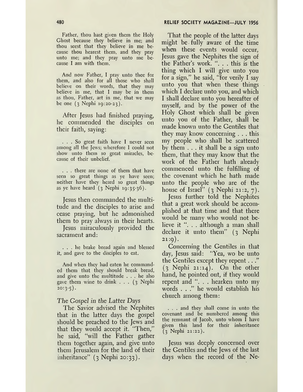Father, thou hast given them the Holy Ghost because they believe in me; and thou seest that they believe in me because thou hearest them, and they pray unto me; and they pray unto me because I am with them.

And now Father, I pray unto thee for them, and also for all those who shall believe on their words, that they may believe in me, that I may be in them as thou, Father, art in me, that we may be one (3 Nephi 19:20-23).

After Jesus had finished praying, he commended the disciples on their faith, saying:

... So great faith have <sup>I</sup> never seen among all the Jews; wherefore I could not show unto them so great miracles, because of their unbelief.

. . . there are none of them that have seen so great things as ye have seen; neither have they heard so great things as ye have heard  $(3 \text{ Nephi } 19:35.36)$ .

Jesus then commanded the multitude and the disciples to arise and cease praying, but he admonished them to pray always in their hearts.

Jesus miraculously provided the sacrament and:

... he brake bread again and blessed it, and gave to the disciples to eat.

And when they had eaten he commanded them that they should break bread, and give unto the multitude ... he also gave them wine to drink  $\ldots$  (3 Nephi  $20:3-5$ ).

#### The *Gospel in the Latter Days*

The Savior advised the Nephites that in the latter days the gospel should be preached to the Jews and that they would accept it. "Then," he said, "will the Father gather them together again, and give unto them Jerusalem for the land of their inheritance"  $(3 \text{ Nephi } 20:33)$ .

That the people of the latter days might be fully aware of the time when these events would occur, Jesus gave the Nephites the sign of the Father's work. ". . . this is the thing which I will give unto you for a sign," he said, "for verily I say unto you that when these things which I declare unto you, and which I shall declare unto you hereafter of myself, and by the power of the Holy Ghost which shall be given unto you of the Father, shall be made known unto the Gentiles that they may know concerning . . . this my people who shall be scattered by them  $\ldots$  it shall be a sign unto them, that they may know that the work of the Father hath already commenced unto the fulfilling of the covenant which he hath made unto the people who are of the house of Israel"  $(3 \text{ Nephi } 21:2, 7)$ .

Jesus further told the Nephites that a great work should be accomplished at that time and that there would be many who would not believe it ". . . although a man shall declare it unto them" (3 Nephi  $21:9$ .

Concerning the Gentiles in that day, Jesus said: "Yea, wo be unto the Gentiles except they repent. . ." (3 Nephi 21:14). On the other hand, he pointed out, if they would repent and ". . . hearken unto my words . . ." he would establish his church among them:

. . . and they shall come in unto the covenant and be numbered among this the remnant of Jacob, unto whom I have given this land for their inheritance (3 Nephi 21:22).

Jesus was deeply concerned over the Gentiles and the Jews of the last days when the record of the Ne-